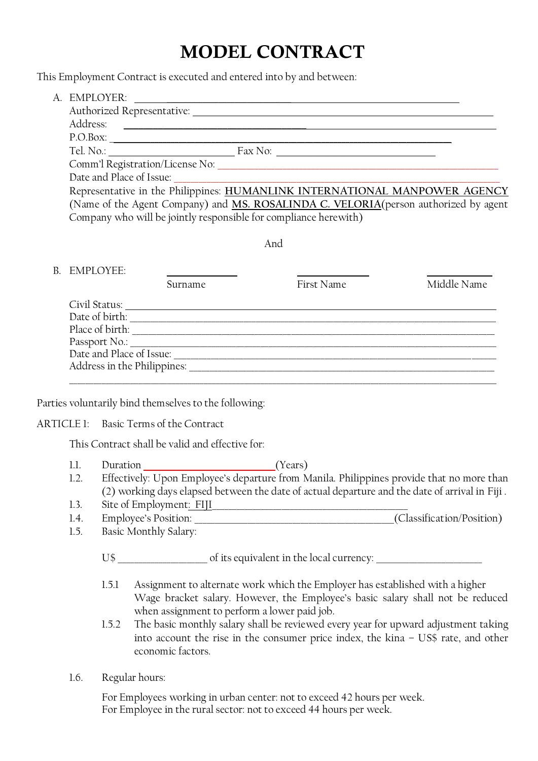## **MODEL CONTRACT**

This Employment Contract is executed and entered into by and between:

|                            | <b>EMPLOYER:</b>                                                                    |  |  |  |
|----------------------------|-------------------------------------------------------------------------------------|--|--|--|
| Authorized Representative: |                                                                                     |  |  |  |
|                            | Address:                                                                            |  |  |  |
|                            | P.O.Box:                                                                            |  |  |  |
|                            | Tel. No.:<br>Fax No:                                                                |  |  |  |
|                            | Comm'l Registration/License No:                                                     |  |  |  |
|                            | Date and Place of Issue:                                                            |  |  |  |
|                            | Representative in the Philippines: HUMANLINK INTERNATIONAL MANPOWER AGENCY          |  |  |  |
|                            | (Name of the Agent Company) and MS. ROSALINDA C. VELORIA(person authorized by agent |  |  |  |
|                            | Company who will be jointly responsible for compliance herewith)                    |  |  |  |
|                            |                                                                                     |  |  |  |
| And                        |                                                                                     |  |  |  |
|                            |                                                                                     |  |  |  |

|                             | Surname | First Name | Middle Name |
|-----------------------------|---------|------------|-------------|
| Civil Status:               |         |            |             |
| Date of birth:              |         |            |             |
| Place of birth:             |         |            |             |
|                             |         |            |             |
| Date and Place of Issue:    |         |            |             |
| Address in the Philippines: |         |            |             |
|                             |         |            |             |

Parties voluntarily bind themselves to the following:

## ARTICLE 1: Basic Terms of the Contract

This Contract shall be valid and effective for:

- 1.1. Duration *(Years)* 1.2. Effectively: Upon Employee's departure from Manila. Philippines provide that no more than (2) working days elapsed between the date of actual departure and the date of arrival in Fiji . 1.3. Site of Employment: FIII
- 
- 1.4. Employee's Position: \_\_\_\_\_\_\_\_\_\_\_\_\_\_\_\_\_\_\_\_\_\_\_\_\_\_\_\_\_\_\_\_\_\_\_\_\_\_\_\_\_\_\_\_\_\_\_\_\_(Classification/Position) 1.5. Basic Monthly Salary:

U\$ of its equivalent in the local currency:

- 1.5.1 Assignment to alternate work which the Employer has established with a higher Wage bracket salary. However, the Employee's basic salary shall not be reduced when assignment to perform a lower paid job.
- 1.5.2 The basic monthly salary shall be reviewed every year for upward adjustment taking into account the rise in the consumer price index, the kina – US\$ rate, and other economic factors.
- 1.6. Regular hours:

For Employees working in urban center: not to exceed 42 hours per week. For Employee in the rural sector: not to exceed 44 hours per week.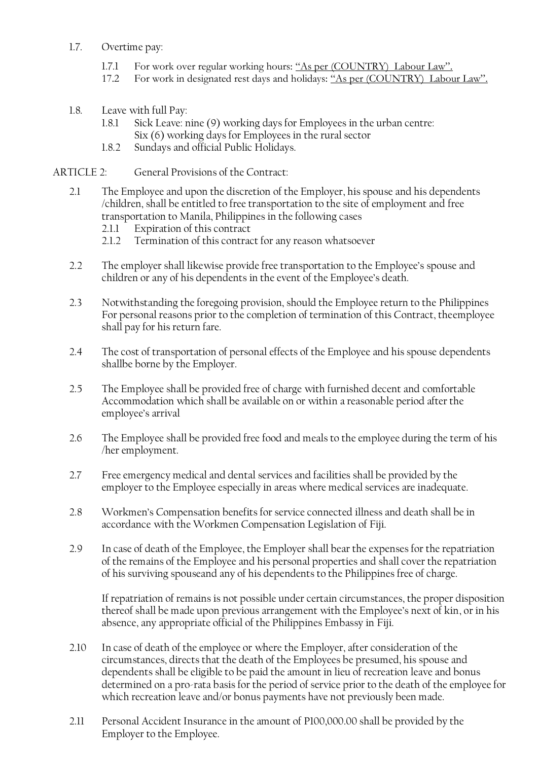- 1.7. Overtime pay:
	- 1.7.1 For work over regular working hours: "As per (COUNTRY) Labour Law".
	- 17.2 For work in designated rest days and holidays: "As per (COUNTRY) Labour Law".
- 1.8. Leave with full Pay:
	- 1.8.1 Sick Leave: nine (9) working days for Employees in the urban centre: Six (6) working days for Employees in the rural sector
	- 1.8.2 Sundays and official Public Holidays.

ARTICLE 2: General Provisions of the Contract:

- 2.1 The Employee and upon the discretion of the Employer, his spouse and his dependents /children, shall be entitled to free transportation to the site of employment and free transportation to Manila, Philippines in the following cases
	- 2.1.1 Expiration of this contract
	- 2.1.2 Termination of this contract for any reason whatsoever
- 2.2 The employer shall likewise provide free transportation to the Employee's spouse and children or any of his dependents in the event of the Employee's death.
- 2.3 Notwithstanding the foregoing provision, should the Employee return to the Philippines For personal reasons prior to the completion of termination of this Contract, theemployee shall pay for his return fare.
- 2.4 The cost of transportation of personal effects of the Employee and his spouse dependents shallbe borne by the Employer.
- 2.5 The Employee shall be provided free of charge with furnished decent and comfortable Accommodation which shall be available on or within a reasonable period after the employee's arrival
- 2.6 The Employee shall be provided free food and meals to the employee during the term of his /her employment.
- 2.7 Free emergency medical and dental services and facilities shall be provided by the employer to the Employee especially in areas where medical services are inadequate.
- 2.8 Workmen's Compensation benefits for service connected illness and death shall be in accordance with the Workmen Compensation Legislation of Fiji.
- 2.9 In case of death of the Employee, the Employer shall bear the expenses for the repatriation of the remains of the Employee and his personal properties and shall cover the repatriation of his surviving spouseand any of his dependents to the Philippines free of charge.

If repatriation of remains is not possible under certain circumstances, the proper disposition thereof shall be made upon previous arrangement with the Employee's next of kin, or in his absence, any appropriate official of the Philippines Embassy in Fiji.

- 2.10 In case of death of the employee or where the Employer, after consideration of the circumstances, directs that the death of the Employees be presumed, his spouse and dependents shall be eligible to be paid the amount in lieu of recreation leave and bonus determined on a pro-rata basis for the period of service prior to the death of the employee for which recreation leave and/or bonus payments have not previously been made.
- 2.11 Personal Accident Insurance in the amount of P100,000.00 shall be provided by the Employer to the Employee.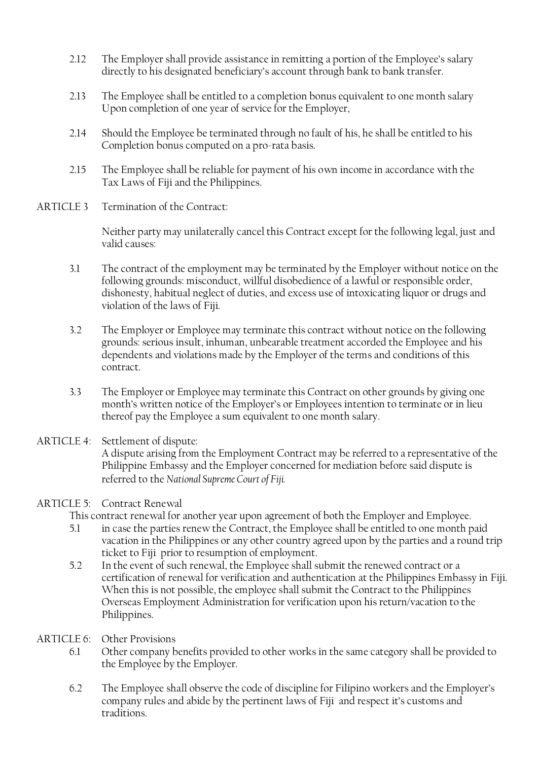- 2.12 The Employer shall provide assistance in remitting a portion of the Employee's salary directly to his designated beneficiary's account through bank to bank transfer.
- 2.13 The Employee shall be entitled to a completion bonus equivalent to one month salary Upon completion of one year of service for the Employer,
- 2.14 Should the Employee be terminated through no fault of his, he shall be entitled to his Completion bonus computed on a pro-rata basis.
- 2.15 The Employee shall be reliable for payment of his own income in accordance with the Tax Laws of Fiji and the Philippines.
- ARTICLE 3 Termination of the Contract:

Neither party may unilaterally cancel this Contract except for the following legal, just and valid causes:

- 3.1 The contract of the employment may be terminated by the Employer without notice on the following grounds: misconduct, willful disobedience of a lawful or responsible order, dishonesty, habitual neglect of duties, and excess use of intoxicating liquor or drugs and violation of the laws of Fiji.
- 3.2 The Employer or Employee may terminate this contract without notice on the following grounds: serious insult, inhuman, unbearable treatment accorded the Employee and his dependents and violations made by the Employer of the terms and conditions of this contract.
- 3.3 The Employer or Employee may terminate this Contract on other grounds by giving one month's written notice of the Employer's or Employees intention to terminate or in lieu thereof pay the Employee a sum equivalent to one month salary.
- ARTICLE 4: Settlement of dispute: A dispute arising from the Employment Contract may be referred to a representative of the Philippine Embassy and the Employer concerned for mediation before said dispute is referred to the *National Supreme Court of Fiji.*

## ARTICLE 5: Contract Renewal

This contract renewal for another year upon agreement of both the Employer and Employee.

- 5.1 in case the parties renew the Contract, the Employee shall be entitled to one month paid vacation in the Philippines or any other country agreed upon by the parties and a round trip ticket to Fiji prior to resumption of employment.
- 5.2 In the event of such renewal, the Employee shall submit the renewed contract or a certification of renewal for verification and authentication at the Philippines Embassy in Fiji. When this is not possible, the employee shall submit the Contract to the Philippines Overseas Employment Administration for verification upon his return/vacation to the Philippines.
- ARTICLE 6: Other Provisions
	- 6.1 Other company benefits provided to other works in the same category shall be provided to the Employee by the Employer.
	- 6.2 The Employee shall observe the code of discipline for Filipino workers and the Employer's company rules and abide by the pertinent laws of Fiji and respect it's customs and traditions.